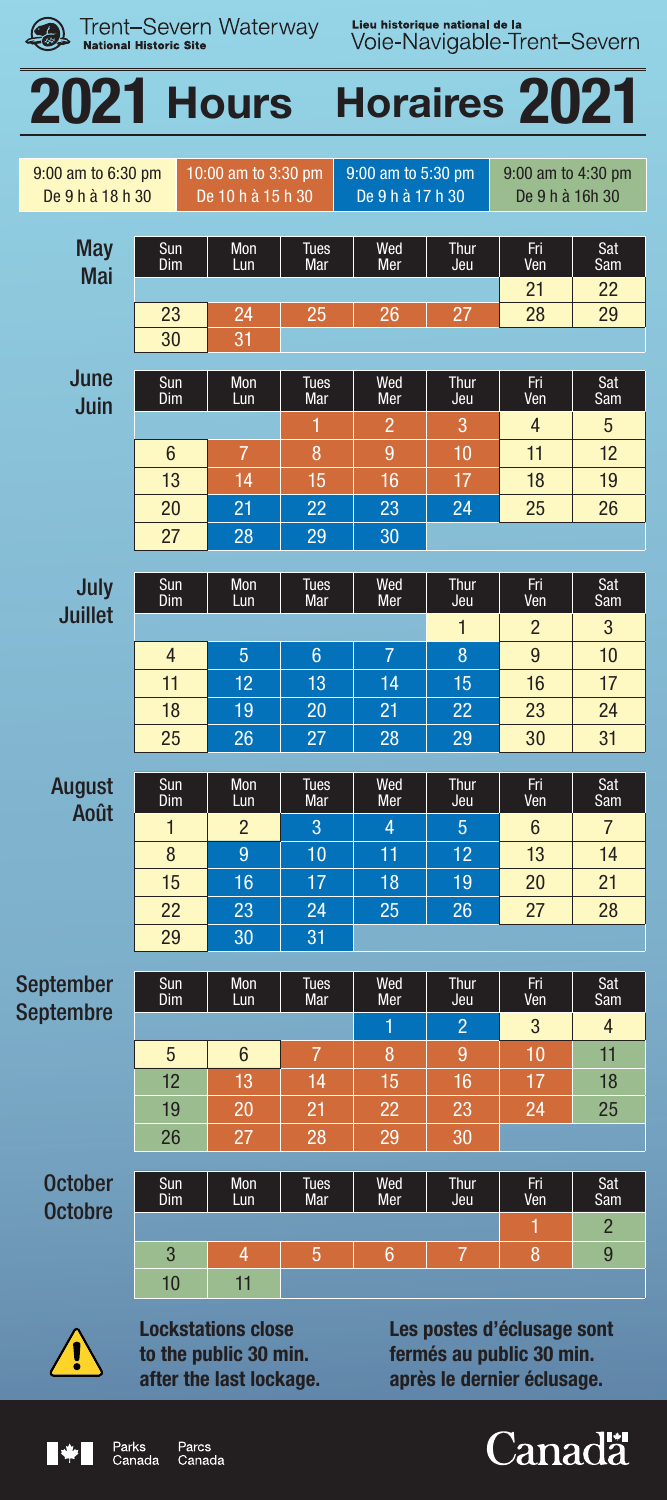| Trent-Severn Waterway<br><b>National Historic Site</b> |                 |                                          |                    | Lieu historique national de la<br>Voie-Navigable-Trent-Severn |                    |                                       |            |
|--------------------------------------------------------|-----------------|------------------------------------------|--------------------|---------------------------------------------------------------|--------------------|---------------------------------------|------------|
| <b>2021 Hours</b><br><b>Horaires 2021</b>              |                 |                                          |                    |                                                               |                    |                                       |            |
| 9:00 am to 6:30 pm<br>De 9 h à 18 h 30                 |                 | 10:00 am to 3:30 pm<br>De 10 h à 15 h 30 |                    | 9:00 am to 5:30 pm<br>De 9 h à 17 h 30                        |                    | 9:00 am to 4:30 pm<br>De 9 h à 16h 30 |            |
| May<br>Mai                                             | Sun<br>Dim      | Mon<br>Lun                               | <b>Tues</b><br>Mar | Wed<br>Mer                                                    | Thur<br>Jeu        | Fri<br>Ven                            | Sat<br>Sam |
|                                                        | 23<br>30        | 24<br>31                                 | 25                 | 26                                                            | 27                 | 21<br>28                              | 22<br>29   |
| June                                                   | Sun<br>Dim      | Mon<br>Lun                               | <b>Tues</b><br>Mar | Wed<br>Mer                                                    | <b>Thur</b><br>Jeu | Fri<br>Ven                            | Sat<br>Sam |
| Juin                                                   | $6\phantom{1}6$ | $\overline{7}$                           | 1<br>8             | $\overline{2}$<br>9                                           | 3<br>10            | $\overline{4}$<br>11                  | 5<br>12    |
|                                                        | 13              | 14                                       | 15                 | 16                                                            | 17                 | 18                                    | 19         |
|                                                        | 20<br>27        | 21<br>28                                 | 22<br>29           | 23<br>30                                                      | 24                 | 25                                    | 26         |
|                                                        |                 |                                          |                    |                                                               |                    |                                       |            |
| July<br>Juillet                                        | Sun<br>Dim      | Mon<br>Lun                               | <b>Tues</b><br>Mar | Wed<br>Mer                                                    | Thur<br>Jeu        | Fri<br>Ven                            | Sat<br>Sam |
|                                                        | 4               | 5                                        | 6                  | $\overline{7}$                                                | $\mathbf{1}$<br>8  | $\mathfrak{p}$<br>9                   | 3<br>10    |

August Août 18 | 19 | 20 | 21 | 22 | 23 | <mark>24</mark> 25 26 27 28 29 30 31 Sun Dim Mon Lun Tues Mar Wed Mer Thur Jeu Fri Ven Sat Sam 1 2 3 4 5 6 7 8 9 10 11 12 <mark>13 14</mark> 15 16 17 18 19 20 21 22 | 23 | 24 | 25 | 26 | 27 | 28 29 30 31

11 | 12 | 13 | 14 | 15 | 16 | 17

September Septembre Sun Dim Mon Lun Tues Mar Wed Mer Thur Jeu Fri Ven Sat Sam 1 2 3 4 5 6 7 8 9 10 11 12 13 14 15 16 17 18 19 20 21 22 23 24 25 26 27 28 29 30

**October Octobre** Sun Dim Mon Lun Tues Mar Wed Mer Thur Jeu Fri Ven Sat Sam 1 2 3 4 5 6 7 8 9 10 11



Lockstations close to the public 30 min. after the last lockage. Les postes d'éclusage sont fermés au public 30 min. après le dernier éclusage.